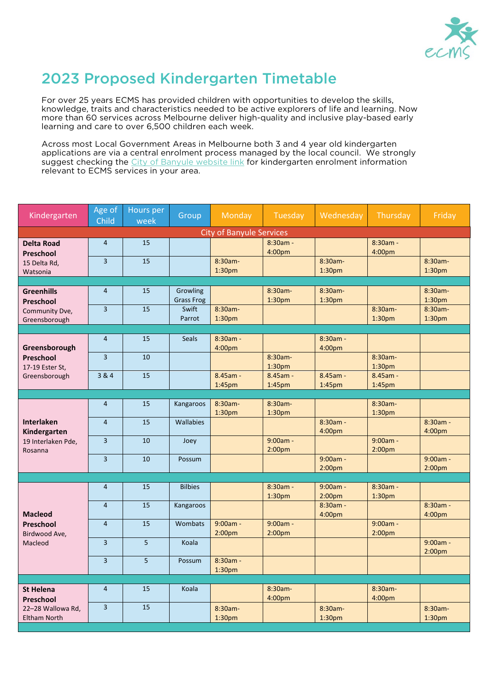

## 2023 Proposed Kindergarten Timetable

For over 25 years ECMS has provided children with opportunities to develop the skills, knowledge, traits and characteristics needed to be active explorers of life and learning. Now more than 60 services across Melbourne deliver high-quality and inclusive play-based early learning and care to over 6,500 children each week.

Across most Local Government Areas in Melbourne both 3 and 4 year old kindergarten applications are via a central enrolment process managed by the local council. We strongly suggest checking the [City of Banyule website link](https://www.banyule.vic.gov.au/Community-services/Kindergarten-services/3-and-4-yr-old-kinder-registration) for kindergarten enrolment information relevant to ECMS services in your area.

| Kindergarten                                                       | Age of<br>Child         | Hours per<br>week | Group                         | Monday                           | Tuesday                          | Wednesday                        | Thursday                         | Friday                           |  |  |  |  |
|--------------------------------------------------------------------|-------------------------|-------------------|-------------------------------|----------------------------------|----------------------------------|----------------------------------|----------------------------------|----------------------------------|--|--|--|--|
| <b>City of Banyule Services</b>                                    |                         |                   |                               |                                  |                                  |                                  |                                  |                                  |  |  |  |  |
| <b>Delta Road</b><br>Preschool                                     | $\overline{4}$          | 15                |                               |                                  | 8:30am -<br>4:00pm               |                                  | 8:30am -<br>4:00pm               |                                  |  |  |  |  |
| 15 Delta Rd,<br>Watsonia                                           | $\overline{\mathbf{3}}$ | 15                |                               | $8:30am -$<br>1:30 <sub>pm</sub> |                                  | $8:30am -$<br>1:30 <sub>pm</sub> |                                  | $8:30am -$<br>1:30 <sub>pm</sub> |  |  |  |  |
|                                                                    |                         |                   |                               |                                  |                                  |                                  |                                  |                                  |  |  |  |  |
| <b>Greenhills</b><br>Preschool<br>Community Dve,<br>Greensborough  | $\overline{4}$          | 15                | Growling<br><b>Grass Frog</b> |                                  | 8:30am-<br>1:30 <sub>pm</sub>    | $8:30am -$<br>1:30pm             |                                  | $8:30am -$<br>1:30 <sub>pm</sub> |  |  |  |  |
|                                                                    | 3                       | 15                | Swift<br>Parrot               | 8:30am-<br>1:30 <sub>pm</sub>    |                                  |                                  | 8:30am-<br>1:30 <sub>pm</sub>    | 8:30am-<br>1:30 <sub>pm</sub>    |  |  |  |  |
|                                                                    |                         |                   |                               |                                  |                                  |                                  |                                  |                                  |  |  |  |  |
| Greensborough<br>Preschool<br>17-19 Ester St,<br>Greensborough     | $\overline{4}$          | 15                | <b>Seals</b>                  | $8:30am -$<br>4:00 <sub>pm</sub> |                                  | $8:30am -$<br>4:00pm             |                                  |                                  |  |  |  |  |
|                                                                    | $\overline{3}$          | 10                |                               |                                  | $8:30am -$<br>1:30 <sub>pm</sub> |                                  | 8:30am-<br>1:30 <sub>pm</sub>    |                                  |  |  |  |  |
|                                                                    | 3 & 4                   | 15                |                               | 8.45am -<br>1:45 <sub>pm</sub>   | 8.45am -<br>1:45 <sub>pm</sub>   | $8.45am -$<br>1:45pm             | $8.45$ am -<br>1:45pm            |                                  |  |  |  |  |
|                                                                    |                         |                   |                               |                                  |                                  |                                  |                                  |                                  |  |  |  |  |
| <b>Interlaken</b><br>Kindergarten<br>19 Interlaken Pde,<br>Rosanna | $\overline{4}$          | 15                | Kangaroos                     | 8:30am-<br>1:30 <sub>pm</sub>    | 8:30am-<br>1:30 <sub>pm</sub>    |                                  | 8:30am-<br>1:30 <sub>pm</sub>    |                                  |  |  |  |  |
|                                                                    | $\overline{4}$          | 15                | <b>Wallabies</b>              |                                  |                                  | 8:30am -<br>4:00pm               |                                  | $8:30am -$<br>4:00pm             |  |  |  |  |
|                                                                    | $\overline{3}$          | 10                | Joey                          |                                  | $9:00am -$<br>2:00 <sub>pm</sub> |                                  | $9:00am -$<br>2:00 <sub>pm</sub> |                                  |  |  |  |  |
|                                                                    | $\overline{3}$          | 10                | Possum                        |                                  |                                  | $9:00am -$<br>2:00 <sub>pm</sub> |                                  | $9:00am -$<br>2:00 <sub>pm</sub> |  |  |  |  |
|                                                                    |                         |                   |                               |                                  |                                  |                                  |                                  |                                  |  |  |  |  |
| <b>Macleod</b><br>Preschool<br>Birdwood Ave,<br>Macleod            | $\overline{4}$          | 15                | <b>Bilbies</b>                |                                  | $8:30am -$<br>1:30 <sub>pm</sub> | $9:00am -$<br>2:00 <sub>pm</sub> | $8:30am -$<br>1:30pm             |                                  |  |  |  |  |
|                                                                    | $\overline{4}$          | 15                | Kangaroos                     |                                  |                                  | 8:30am -<br>4:00pm               |                                  | 8:30am -<br>4:00 <sub>pm</sub>   |  |  |  |  |
|                                                                    | $\overline{4}$          | 15                | Wombats                       | $9:00am -$<br>2:00 <sub>pm</sub> | 9:00am -<br>2:00 <sub>pm</sub>   |                                  | 9:00am -<br>2:00 <sub>pm</sub>   |                                  |  |  |  |  |
|                                                                    | 3                       | 5                 | Koala                         |                                  |                                  |                                  |                                  | $9:00am -$<br>2:00 <sub>pm</sub> |  |  |  |  |
|                                                                    | $\overline{3}$          | 5                 | Possum                        | 8:30am -<br>1:30 <sub>pm</sub>   |                                  |                                  |                                  |                                  |  |  |  |  |
|                                                                    |                         |                   |                               |                                  |                                  |                                  |                                  |                                  |  |  |  |  |
| <b>St Helena</b><br>Preschool                                      | 4                       | 15                | Koala                         |                                  | 8:30am-<br>4:00pm                |                                  | 8:30am-<br>4:00pm                |                                  |  |  |  |  |
| 22-28 Wallowa Rd,<br><b>Eltham North</b>                           | 3                       | 15                |                               | 8:30am-<br>1:30 <sub>pm</sub>    |                                  | 8:30am-<br>1:30 <sub>pm</sub>    |                                  | 8:30am-<br>1:30 <sub>pm</sub>    |  |  |  |  |